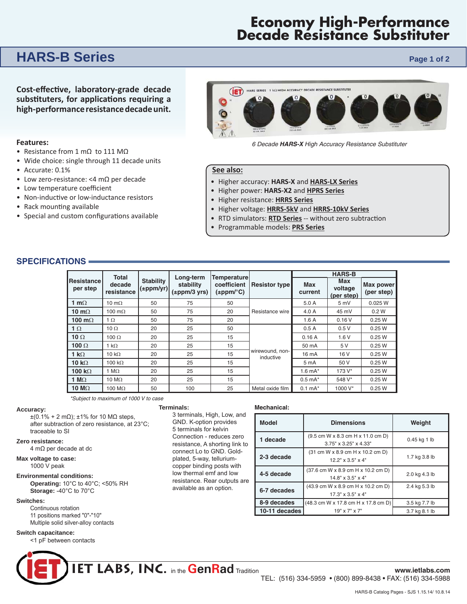# **Economy High-Performance Decade Resistance Substituter**

## **HARS-B Series** *Page 1 of 2*

**Cost-eff ecƟ ve, laboratory-grade decade sub sƟ tut ers, for applicaƟ ons requiring a high-per for mance resistance decade unit.**

#### **Features:**

- Resistance from 1 mΩ to 111 MΩ
- Wide choice: single through 11 decade units
- Accurate: 0.1%
- Low zero-resistance: <4 mΩ per decade
- Low temperature coefficient
- Non-inductive or low-inductance resistors
- Rack mounting available
- Special and custom configurations available



*6 Decade HARS-X High Accuracy Resistance Sub sti tut er* 

#### **See also:**

- Higher accuracy: **HARS-X** and **HARS-LX Series**
- Higher power: **HARS-X2** and **HPRS Series**
- Higher resistance: **HRRS Series**
- Higher voltage: **HRRS-5kV** and **HRRS-10kV Series**
- RTD simulators: **RTD Series** -- without zero subtraction
- Programmable models: **PRS Series**

**Mechanical:** 

#### **SPECIFICATIONS**

|                         | <b>Total</b>         |                               |                                             | Temperaturel<br>coefficient<br>$(\pm$ ppm/ $^{\circ}$ C) |                              | <b>HARS-B</b>         |                              |                         |
|-------------------------|----------------------|-------------------------------|---------------------------------------------|----------------------------------------------------------|------------------------------|-----------------------|------------------------------|-------------------------|
| Resistancel<br>per step | decade<br>resistance | <b>Stability</b><br>(±ppm/yr) | Long-term<br>stability<br>$(\pm$ ppm/3 yrs) |                                                          | <b>Resistor type</b>         | <b>Max</b><br>current | Max<br>voltage<br>(per step) | Max power<br>(per step) |
| 1 m $\Omega$            | 10 m $\Omega$        | 50                            | 75                                          | 50                                                       | Resistance wire              | 5.0 A                 | 5mV                          | 0.025 W                 |
| 10 m $\Omega$           | 100 $m\Omega$        | 50                            | 75                                          | 20                                                       |                              | 4.0 A                 | 45 mV                        | 0.2 W                   |
| 100 m $\Omega$          | 1 $\Omega$           | 50                            | 75                                          | 20                                                       |                              | 1.6A                  | 0.16V                        | 0.25W                   |
| 1 $\Omega$              | 10 $\Omega$          | 20                            | 25                                          | 50                                                       | wirewound, non-<br>inductive | 0.5A                  | 0.5V                         | 0.25W                   |
| 10 $\Omega$             | 100 $\Omega$         | 20                            | 25                                          | 15                                                       |                              | 0.16A                 | 1.6V                         | 0.25W                   |
| 100 $\Omega$            | 1 k $\Omega$         | 20                            | 25                                          | 15                                                       |                              | 50 mA                 | 5 V                          | 0.25W                   |
| 1 k $\Omega$            | 10 k $\Omega$        | 20                            | 25                                          | 15                                                       |                              | 16 mA                 | 16 V                         | 0.25W                   |
| 10 $k\Omega$            | 100 $k\Omega$        | 20                            | 25                                          | 15                                                       |                              | 5 mA                  | 50 V                         | 0.25W                   |
| 100 k $\Omega$          | 1 M $\Omega$         | 20                            | 25                                          | 15                                                       |                              | 1.6 $mA^*$            | 173 V*                       | 0.25W                   |
| 1 $M\Omega$             | 10 M $\Omega$        | 20                            | 25                                          | 15                                                       |                              | $0.5$ mA $*$          | 548 V*                       | 0.25W                   |
| 10 $M\Omega$            | 100 $M\Omega$        | 50                            | 100                                         | 25                                                       | Metal oxide film             | $0.1 \text{ mA}^*$    | 1000 V*                      | 0.25W                   |

*\*Subject to maximum of 1000 V to case* 

**Terminals:** 

3 terminals, High, Low, and GND. K-option provides 5 terminals for kelvin Connection - reduces zero resistance, A shorting link to connect Lo to GND. Goldplated, 5-way, telluriumcopper binding posts with low thermal emf and low resistance. Rear outputs are available as an option.

#### **Accuracy:**

 $±(0.1% + 2 mΩ)$ ; ±1% for 10 MΩ steps, after subtraction of zero resistance, at 23°C; traceable to SI

#### **Zero resistance:**

4 mΩ per decade at dc

### **Max voltage to case:**

1000 V peak

#### **Environmental conditions: Operating:** 10°C to 40°C; <50% RH **Storage:** -40°C to 70°C

#### **Switches:**

Continuous rotation 11 positions marked "0"-"10" Multiple solid silver-alloy contacts

#### **Switch capacitance:**

<1 pF between contacts



**Model Dimensions Weight** 

17.3" x 3.5" x 4"

19" x 7" x 7"

**10-11 decades 19"** x 7" x 7" **10.3.7** kg 8.1 lb

 $3.75'' \times 3.25'' \times 4.33''$  0.45 kg 1 lb

12.2" x 3.5" x 4" 1.7 kg 3.8 lb

 $14.8'' \times 3.5'' \times 4''$  2.0 kg 4.3 lb

2.4 kg 5.3 lb

3.5 kg 7.7 lb

**1 decade** (9.5 cm W x 8.3 cm H x 11.0 cm D)

**2-3 decade**  $(31 \text{ cm W} \times 8.9 \text{ cm H} \times 10.2 \text{ cm D})$ 

**4-5 decade** (37.6 cm W x 8.9 cm H x 10.2 cm D)

**6-7 decades** (43.9 cm W x 8.9 cm H x 10.2 cm D)

**8-9 decades** (48.3 cm W x 17.8 cm H x 17.8 cm D)